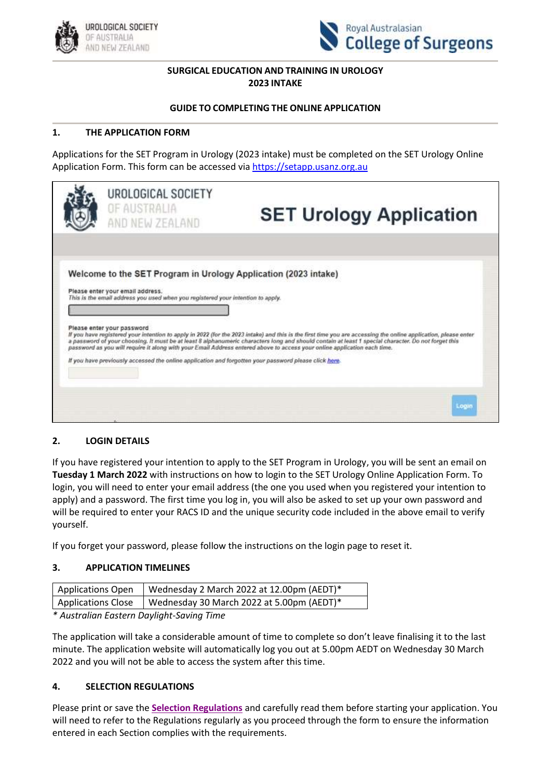



# **SURGICAL EDUCATION AND TRAINING IN UROLOGY 2023 INTAKE**

### **GUIDE TO COMPLETING THE ONLINE APPLICATION**

# **1. THE APPLICATION FORM**

Applications for the SET Program in Urology (2023 intake) must be completed on the SET Urology Online Application Form. This form can be accessed via [https://setapp.usanz.org.au](https://setapp.usanz.org.au/)

| UROLOGICAL SOCIETY<br>OF AUSTRALIA<br>AND NEW ZEALAND                                                                                                                                  | <b>SET Urology Application</b>                                                                                                                                                                                                                                                                                                                                                                                                                    |
|----------------------------------------------------------------------------------------------------------------------------------------------------------------------------------------|---------------------------------------------------------------------------------------------------------------------------------------------------------------------------------------------------------------------------------------------------------------------------------------------------------------------------------------------------------------------------------------------------------------------------------------------------|
| Welcome to the SET Program in Urology Application (2023 intake)<br>Please enter your email address.<br>This is the email address you used when you registered your intention to apply. |                                                                                                                                                                                                                                                                                                                                                                                                                                                   |
| Please enter your password<br>If you have previously accessed the online application and forgotten your password please click here.                                                    | If you have registered your intention to apply in 2022 (for the 2023 intake) and this is the first time you are accessing the online application, please enter<br>a password of your choosing. It must be at least 8 alphanumeric characters long and should contain at least 1 special character. Do not forget this<br>password as you will require it along with your Email Address entered above to access your online application each time. |
|                                                                                                                                                                                        |                                                                                                                                                                                                                                                                                                                                                                                                                                                   |

### **2. LOGIN DETAILS**

If you have registered your intention to apply to the SET Program in Urology, you will be sent an email on **Tuesday 1 March 2022** with instructions on how to login to the SET Urology Online Application Form. To login, you will need to enter your email address (the one you used when you registered your intention to apply) and a password. The first time you log in, you will also be asked to set up your own password and will be required to enter your RACS ID and the unique security code included in the above email to verify yourself.

If you forget your password, please follow the instructions on the login page to reset it.

### **3. APPLICATION TIMELINES**

| <b>Applications Open</b>  | I Wednesday 2 March 2022 at 12.00pm (AEDT)* |
|---------------------------|---------------------------------------------|
| <b>Applications Close</b> | Vednesday 30 March 2022 at 5.00pm (AEDT)*   |

*\* Australian Eastern Daylight-Saving Time*

The application will take a considerable amount of time to complete so don't leave finalising it to the last minute. The application website will automatically log you out at 5.00pm AEDT on Wednesday 30 March 2022 and you will not be able to access the system after this time.

### **4. SELECTION REGULATIONS**

Please print or save the **[Selection Regulations](file:///C:/Users/Deborah/OneDrive%20-%20Urological%20Society%20of%20Australia%20and%20New%20Zealand/Downloads/SET-Urology-Selection-Regulations-2023-Intake%20(4).pdf)** and carefully read them before starting your application. You will need to refer to the Regulations regularly as you proceed through the form to ensure the information entered in each Section complies with the requirements.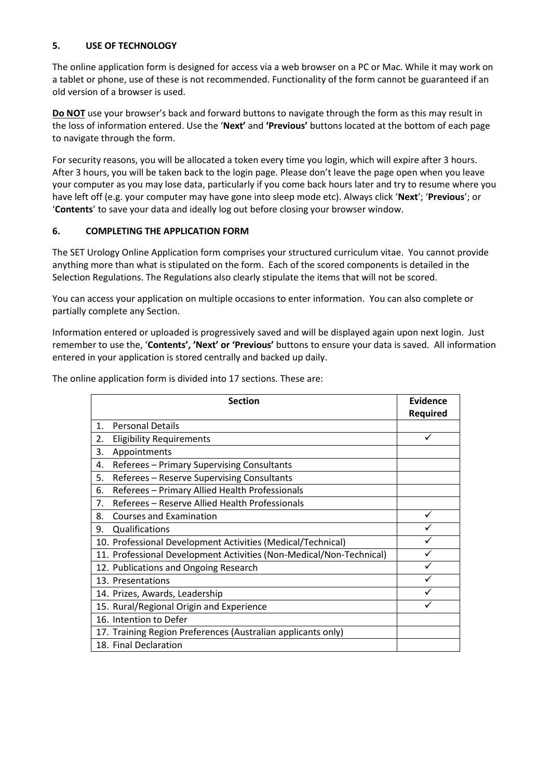# **5. USE OF TECHNOLOGY**

The online application form is designed for access via a web browser on a PC or Mac. While it may work on a tablet or phone, use of these is not recommended. Functionality of the form cannot be guaranteed if an old version of a browser is used.

**Do NOT** use your browser's back and forward buttons to navigate through the form as this may result in the loss of information entered. Use the '**Next'** and **'Previous'** buttons located at the bottom of each page to navigate through the form.

For security reasons, you will be allocated a token every time you login, which will expire after 3 hours. After 3 hours, you will be taken back to the login page. Please don't leave the page open when you leave your computer as you may lose data, particularly if you come back hours later and try to resume where you have left off (e.g. your computer may have gone into sleep mode etc). Always click '**Next**'; '**Previous**'; or '**Contents**' to save your data and ideally log out before closing your browser window.

# **6. COMPLETING THE APPLICATION FORM**

The SET Urology Online Application form comprises your structured curriculum vitae. You cannot provide anything more than what is stipulated on the form. Each of the scored components is detailed in the Selection Regulations. The Regulations also clearly stipulate the items that will not be scored.

You can access your application on multiple occasions to enter information. You can also complete or partially complete any Section.

Information entered or uploaded is progressively saved and will be displayed again upon next login. Just remember to use the, '**Contents', 'Next' or 'Previous'** buttons to ensure your data is saved. All information entered in your application is stored centrally and backed up daily.

| <b>Section</b> |                                                                     | Evidence |
|----------------|---------------------------------------------------------------------|----------|
|                |                                                                     | Required |
| 1.             | <b>Personal Details</b>                                             |          |
| 2.             | <b>Eligibility Requirements</b>                                     |          |
| 3.             | Appointments                                                        |          |
| 4.             | Referees - Primary Supervising Consultants                          |          |
| 5.             | Referees - Reserve Supervising Consultants                          |          |
| 6.             | Referees - Primary Allied Health Professionals                      |          |
| 7.             | Referees - Reserve Allied Health Professionals                      |          |
| 8.             | <b>Courses and Examination</b>                                      | ✓        |
| 9.             | Qualifications                                                      |          |
|                | 10. Professional Development Activities (Medical/Technical)         |          |
|                | 11. Professional Development Activities (Non-Medical/Non-Technical) |          |
|                | 12. Publications and Ongoing Research                               |          |
|                | 13. Presentations                                                   |          |
|                | 14. Prizes, Awards, Leadership                                      |          |
|                | 15. Rural/Regional Origin and Experience                            |          |
|                | 16. Intention to Defer                                              |          |
|                | 17. Training Region Preferences (Australian applicants only)        |          |
|                | 18. Final Declaration                                               |          |

The online application form is divided into 17 sections. These are: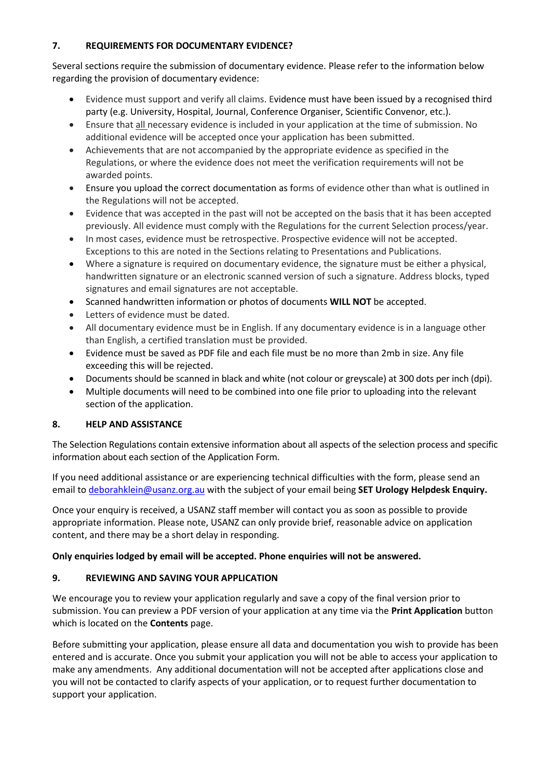# **7. REQUIREMENTS FOR DOCUMENTARY EVIDENCE?**

Several sections require the submission of documentary evidence. Please refer to the information below regarding the provision of documentary evidence:

- Evidence must support and verify all claims. Evidence must have been issued by a recognised third party (e.g. University, Hospital, Journal, Conference Organiser, Scientific Convenor, etc.).
- Ensure that all necessary evidence is included in your application at the time of submission. No additional evidence will be accepted once your application has been submitted.
- Achievements that are not accompanied by the appropriate evidence as specified in the Regulations, or where the evidence does not meet the verification requirements will not be awarded points.
- Ensure you upload the correct documentation as forms of evidence other than what is outlined in the Regulations will not be accepted.
- Evidence that was accepted in the past will not be accepted on the basis that it has been accepted previously. All evidence must comply with the Regulations for the current Selection process/year.
- In most cases, evidence must be retrospective. Prospective evidence will not be accepted. Exceptions to this are noted in the Sections relating to Presentations and Publications.
- Where a signature is required on documentary evidence, the signature must be either a physical, handwritten signature or an electronic scanned version of such a signature. Address blocks, typed signatures and email signatures are not acceptable.
- Scanned handwritten information or photos of documents **WILL NOT** be accepted.
- Letters of evidence must be dated.
- All documentary evidence must be in English. If any documentary evidence is in a language other than English, a certified translation must be provided.
- Evidence must be saved as PDF file and each file must be no more than 2mb in size. Any file exceeding this will be rejected.
- Documents should be scanned in black and white (not colour or greyscale) at 300 dots per inch (dpi).
- Multiple documents will need to be combined into one file prior to uploading into the relevant section of the application.

# **8. HELP AND ASSISTANCE**

The Selection Regulations contain extensive information about all aspects of the selection process and specific information about each section of the Application Form.

If you need additional assistance or are experiencing technical difficulties with the form, please send an email t[o deborahklein@usanz.org.au](mailto:deborahklein@usanz.org.au) with the subject of your email being **SET Urology Helpdesk Enquiry.**

Once your enquiry is received, a USANZ staff member will contact you as soon as possible to provide appropriate information. Please note, USANZ can only provide brief, reasonable advice on application content, and there may be a short delay in responding.

### **Only enquiries lodged by email will be accepted. Phone enquiries will not be answered.**

# **9. REVIEWING AND SAVING YOUR APPLICATION**

We encourage you to review your application regularly and save a copy of the final version prior to submission. You can preview a PDF version of your application at any time via the **Print Application** button which is located on the **Contents** page.

Before submitting your application, please ensure all data and documentation you wish to provide has been entered and is accurate. Once you submit your application you will not be able to access your application to make any amendments. Any additional documentation will not be accepted after applications close and you will not be contacted to clarify aspects of your application, or to request further documentation to support your application.